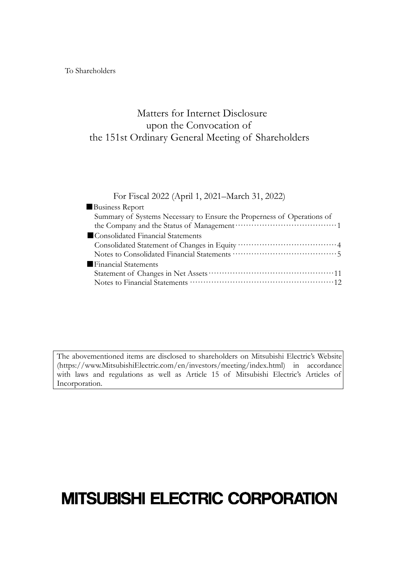To Shareholders

# Matters for Internet Disclosure upon the Convocation of the 151st Ordinary General Meeting of Shareholders

#### For Fiscal 2022 (April 1, 2021–March 31, 2022)

| <b>Business Report</b>                                                 |  |
|------------------------------------------------------------------------|--|
| Summary of Systems Necessary to Ensure the Properness of Operations of |  |
|                                                                        |  |
| Consolidated Financial Statements                                      |  |
|                                                                        |  |
|                                                                        |  |
| Financial Statements                                                   |  |
|                                                                        |  |
|                                                                        |  |
|                                                                        |  |

The abovementioned items are disclosed to shareholders on Mitsubishi Electric's Website (https://www.MitsubishiElectric.com/en/investors/meeting/index.html) in accordance with laws and regulations as well as Article 15 of Mitsubishi Electric's Articles of Incorporation.

# **MITSUBISHI ELECTRIC CORPORATION**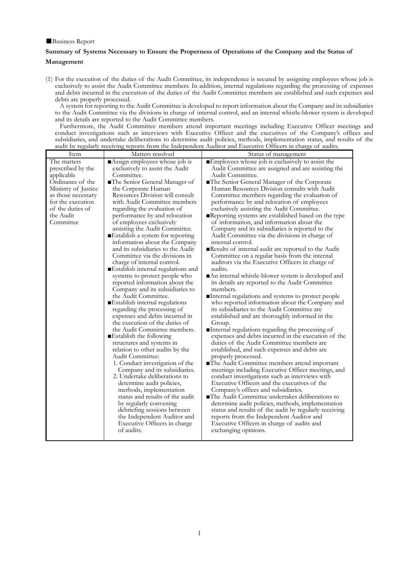#### ■Business Report

#### **Summary of Systems Necessary to Ensure the Properness of Operations of the Company and the Status of Management**

(1) For the execution of the duties of the Audit Committee, its independence is secured by assigning employees whose job is exclusively to assist the Audit Committee members. In addition, internal regulations regarding the processing of expenses and debts incurred in the execution of the duties of the Audit Committee members are established and such expenses and debts are properly processed.

A system for reporting to the Audit Committee is developed to report information about the Company and its subsidiaries to the Audit Committee via the divisions in charge of internal control, and an internal whistle-blower system is developed and its details are reported to the Audit Committee members.

Furthermore, the Audit Committee members attend important meetings including Executive Officer meetings and conduct investigations such as interviews with Executive Officer and the executives of the Company's offices and subsidiaries, and undertake deliberations to determine audit policies, methods, implementation status, and results of the audit by regularly receiving reports from the Independent Auditor and Executive Officers in charge of audits.

| Item                                                                                                                                                                               | Matters resolved                                                                                                                                                                                                                                                                                                                                                                                                                                                                                                                                                                                                                                                                                                                                                                                                                                                                                                                                                                                                                                                                                                                                                                                                                                                                                                      | Status of management                                                                                                                                                                                                                                                                                                                                                                                                                                                                                                                                                                                                                                                                                                                                                                                                                                                                                                                                                                                                                                                                                                                                                                                                                                                                                                                                                                                                                                                                                                                                                                                                                                                                                                                                                                                                                                                                       |
|------------------------------------------------------------------------------------------------------------------------------------------------------------------------------------|-----------------------------------------------------------------------------------------------------------------------------------------------------------------------------------------------------------------------------------------------------------------------------------------------------------------------------------------------------------------------------------------------------------------------------------------------------------------------------------------------------------------------------------------------------------------------------------------------------------------------------------------------------------------------------------------------------------------------------------------------------------------------------------------------------------------------------------------------------------------------------------------------------------------------------------------------------------------------------------------------------------------------------------------------------------------------------------------------------------------------------------------------------------------------------------------------------------------------------------------------------------------------------------------------------------------------|--------------------------------------------------------------------------------------------------------------------------------------------------------------------------------------------------------------------------------------------------------------------------------------------------------------------------------------------------------------------------------------------------------------------------------------------------------------------------------------------------------------------------------------------------------------------------------------------------------------------------------------------------------------------------------------------------------------------------------------------------------------------------------------------------------------------------------------------------------------------------------------------------------------------------------------------------------------------------------------------------------------------------------------------------------------------------------------------------------------------------------------------------------------------------------------------------------------------------------------------------------------------------------------------------------------------------------------------------------------------------------------------------------------------------------------------------------------------------------------------------------------------------------------------------------------------------------------------------------------------------------------------------------------------------------------------------------------------------------------------------------------------------------------------------------------------------------------------------------------------------------------------|
| The matters<br>prescribed by the<br>applicable<br>Ordinance of the<br>Ministry of Justice<br>as those necessary<br>for the execution<br>of the duties of<br>the Audit<br>Committee | Assign employees whose job is<br>exclusively to assist the Audit<br>Committee.<br>■The Senior General Manager of<br>the Corporate Human<br>Resources Division will consult<br>with Audit Committee members<br>regarding the evaluation of<br>performance by and relocation<br>of employees exclusively<br>assisting the Audit Committee.<br>■Establish a system for reporting<br>information about the Company<br>and its subsidiaries to the Audit<br>Committee via the divisions in<br>charge of internal control.<br>Establish internal regulations and<br>systems to protect people who<br>reported information about the<br>Company and its subsidiaries to<br>the Audit Committee.<br>■ Establish internal regulations<br>regarding the processing of<br>expenses and debts incurred in<br>the execution of the duties of<br>the Audit Committee members.<br>■Establish the following<br>structures and systems in<br>relation to other audits by the<br>Audit Committee:<br>1. Conduct investigation of the<br>Company and its subsidiaries.<br>2. Undertake deliberations to<br>determine audit policies,<br>methods, implementation<br>status and results of the audit<br>by regularly convening<br>debriefing sessions between<br>the Independent Auditor and<br>Executive Officers in charge<br>of audits. | ■Employees whose job is exclusively to assist the<br>Audit Committee are assigned and are assisting the<br>Audit Committee.<br>The Senior General Manager of the Corporate<br>Human Resources Division consults with Audit<br>Committee members regarding the evaluation of<br>performance by and relocation of employees<br>exclusively assisting the Audit Committee.<br>Reporting systems are established based on the type<br>of information, and information about the<br>Company and its subsidiaries is reported to the<br>Audit Committee via the divisions in charge of<br>internal control.<br>Results of internal audit are reported to the Audit<br>Committee on a regular basis from the internal<br>auditors via the Executive Officers in charge of<br>audits.<br>■An internal whistle-blower system is developed and<br>its details are reported to the Audit Committee<br>members.<br>■Internal regulations and systems to protect people<br>who reported information about the Company and<br>its subsidiaries to the Audit Committee are<br>established and are thoroughly informed in the<br>Group.<br>Internal regulations regarding the processing of<br>expenses and debts incurred in the execution of the<br>duties of the Audit Committee members are<br>established, and such expenses and debts are<br>properly processed.<br>The Audit Committee members attend important<br>meetings including Executive Officer meetings, and<br>conduct investigations such as interviews with<br>Executive Officers and the executives of the<br>Company's offices and subsidiaries.<br>■The Audit Committee undertakes deliberations to<br>determine audit policies, methods, implementation<br>status and results of the audit by regularly receiving<br>reports from the Independent Auditor and<br>Executive Officers in charge of audits and<br>exchanging opinions. |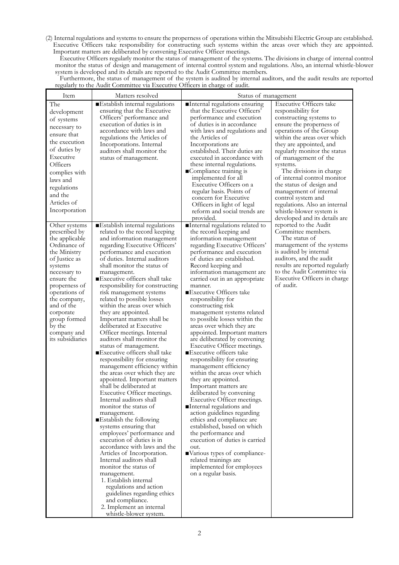(2) Internal regulations and systems to ensure the properness of operations within the Mitsubishi Electric Group are established. Executive Officers take responsibility for constructing such systems within the areas over which they are appointed. Important matters are deliberated by convening Executive Officer meetings.

Executive Officers regularly monitor the status of management of the systems. The divisions in charge of internal control monitor the status of design and management of internal control system and regulations. Also, an internal whistle-blower system is developed and its details are reported to the Audit Committee members.

Furthermore, the status of management of the system is audited by internal auditors, and the audit results are reported regularly to the Audit Committee via Executive Officers in charge of audit.

| Item                                                                                                                                                                                                                                                                                 | Matters resolved                                                                                                                                                                                                                                                                                                                                                                                                                                                                                                                                                                                                                                                                                                                                                                                                                                                                                                                                                                                                                                                                                                                                                                                                                                                                       | Status of management                                                                                                                                                                                                                                                                                                                                                                                                                                                                                                                                                                                                                                                                                                                                                                                                                                                                                                                                                                                                                                                                  |                                                                                                                                                                                                                                                                                                                                                                                                                                                                                                          |  |  |
|--------------------------------------------------------------------------------------------------------------------------------------------------------------------------------------------------------------------------------------------------------------------------------------|----------------------------------------------------------------------------------------------------------------------------------------------------------------------------------------------------------------------------------------------------------------------------------------------------------------------------------------------------------------------------------------------------------------------------------------------------------------------------------------------------------------------------------------------------------------------------------------------------------------------------------------------------------------------------------------------------------------------------------------------------------------------------------------------------------------------------------------------------------------------------------------------------------------------------------------------------------------------------------------------------------------------------------------------------------------------------------------------------------------------------------------------------------------------------------------------------------------------------------------------------------------------------------------|---------------------------------------------------------------------------------------------------------------------------------------------------------------------------------------------------------------------------------------------------------------------------------------------------------------------------------------------------------------------------------------------------------------------------------------------------------------------------------------------------------------------------------------------------------------------------------------------------------------------------------------------------------------------------------------------------------------------------------------------------------------------------------------------------------------------------------------------------------------------------------------------------------------------------------------------------------------------------------------------------------------------------------------------------------------------------------------|----------------------------------------------------------------------------------------------------------------------------------------------------------------------------------------------------------------------------------------------------------------------------------------------------------------------------------------------------------------------------------------------------------------------------------------------------------------------------------------------------------|--|--|
| The<br>development<br>of systems<br>necessary to<br>ensure that<br>the execution<br>of duties by<br>Executive<br>Officers<br>complies with<br>laws and<br>regulations<br>and the<br>Articles of<br>Incorporation                                                                     | ■ Establish internal regulations<br>ensuring that the Executive<br>Officers' performance and<br>execution of duties is in<br>accordance with laws and<br>regulations the Articles of<br>Incorporations. Internal<br>auditors shall monitor the<br>status of management.                                                                                                                                                                                                                                                                                                                                                                                                                                                                                                                                                                                                                                                                                                                                                                                                                                                                                                                                                                                                                | Internal regulations ensuring<br>that the Executive Officers'<br>performance and execution<br>of duties is in accordance<br>with laws and regulations and<br>the Articles of<br>Incorporations are<br>established. Their duties are<br>executed in accordance with<br>these internal regulations.<br>■Compliance training is<br>implemented for all<br>Executive Officers on a<br>regular basis. Points of<br>concern for Executive<br>Officers in light of legal<br>reform and social trends are<br>provided.                                                                                                                                                                                                                                                                                                                                                                                                                                                                                                                                                                        | <b>Executive Officers take</b><br>responsibility for<br>constructing systems to<br>ensure the properness of<br>operations of the Group<br>within the areas over which<br>they are appointed, and<br>regularly monitor the status<br>of management of the<br>systems.<br>The divisions in charge<br>of internal control monitor<br>the status of design and<br>management of internal<br>control system and<br>regulations. Also an internal<br>whistle-blower system is<br>developed and its details are |  |  |
| Other systems<br>prescribed by<br>the applicable<br>Ordinance of<br>the Ministry<br>of Justice as<br>systems<br>necessary to<br>ensure the<br>properness of<br>operations of<br>the company,<br>and of the<br>corporate<br>group formed<br>by the<br>company and<br>its subsidiaries | Establish internal regulations<br>related to the record keeping<br>and information management<br>regarding Executive Officers'<br>performance and execution<br>of duties. Internal auditors<br>shall monitor the status of<br>management.<br>■Executive officers shall take<br>responsibility for constructing<br>risk management systems<br>related to possible losses<br>within the areas over which<br>they are appointed.<br>Important matters shall be<br>deliberated at Executive<br>Officer meetings. Internal<br>auditors shall monitor the<br>status of management.<br>■Executive officers shall take<br>responsibility for ensuring<br>management efficiency within<br>the areas over which they are<br>appointed. Important matters<br>shall be deliberated at<br>Executive Officer meetings.<br>Internal auditors shall<br>monitor the status of<br>management.<br>Establish the following<br>systems ensuring that<br>employees' performance and<br>execution of duties is in<br>accordance with laws and the<br>Articles of Incorporation.<br>Internal auditors shall<br>monitor the status of<br>management.<br>1. Establish internal<br>regulations and action<br>guidelines regarding ethics<br>and compliance.<br>2. Implement an internal<br>whistle-blower system. | Internal regulations related to<br>the record keeping and<br>information management<br>regarding Executive Officers'<br>performance and execution<br>of duties are established.<br>Record keeping and<br>information management are<br>carried out in an appropriate<br>manner.<br>■Executive Officers take<br>responsibility for<br>constructing risk<br>management systems related<br>to possible losses within the<br>areas over which they are<br>appointed. Important matters<br>are deliberated by convening<br>Executive Officer meetings.<br>■Executive officers take<br>responsibility for ensuring<br>management efficiency<br>within the areas over which<br>they are appointed.<br>Important matters are<br>deliberated by convening<br>Executive Officer meetings.<br>Internal regulations and<br>action guidelines regarding<br>ethics and compliance are<br>established, based on which<br>the performance and<br>execution of duties is carried<br>out.<br>■Various types of compliance-<br>related trainings are<br>implemented for employees<br>on a regular basis. | reported to the Audit<br>Committee members.<br>The status of<br>management of the systems<br>is audited by internal<br>auditors, and the audit<br>results are reported regularly<br>to the Audit Committee via<br>Executive Officers in charge<br>of audit.                                                                                                                                                                                                                                              |  |  |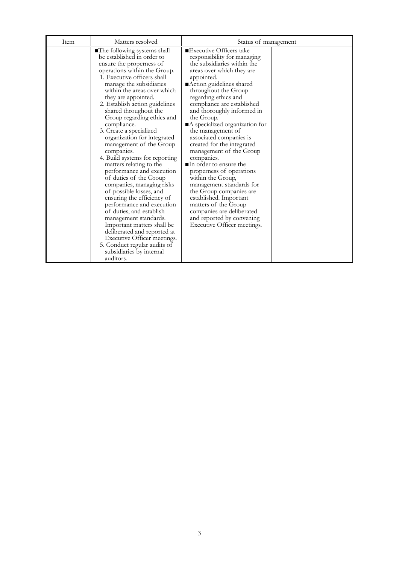| Item | Matters resolved                                                                                                                                                                                                                                                                                                                                                                                                                                                                                                                                                                                                                                                                                                                                                                                                                                                                                                  | Status of management                                                                                                                                                                                                                                                                                                                                                                                                                                                                                                                                                                                                                                                                                                                         |  |  |  |
|------|-------------------------------------------------------------------------------------------------------------------------------------------------------------------------------------------------------------------------------------------------------------------------------------------------------------------------------------------------------------------------------------------------------------------------------------------------------------------------------------------------------------------------------------------------------------------------------------------------------------------------------------------------------------------------------------------------------------------------------------------------------------------------------------------------------------------------------------------------------------------------------------------------------------------|----------------------------------------------------------------------------------------------------------------------------------------------------------------------------------------------------------------------------------------------------------------------------------------------------------------------------------------------------------------------------------------------------------------------------------------------------------------------------------------------------------------------------------------------------------------------------------------------------------------------------------------------------------------------------------------------------------------------------------------------|--|--|--|
|      | The following systems shall<br>be established in order to<br>ensure the properness of<br>operations within the Group.<br>1. Executive officers shall<br>manage the subsidiaries<br>within the areas over which<br>they are appointed.<br>2. Establish action guidelines<br>shared throughout the<br>Group regarding ethics and<br>compliance.<br>3. Create a specialized<br>organization for integrated<br>management of the Group<br>companies.<br>4. Build systems for reporting<br>matters relating to the<br>performance and execution<br>of duties of the Group<br>companies, managing risks<br>of possible losses, and<br>ensuring the efficiency of<br>performance and execution<br>of duties, and establish<br>management standards.<br>Important matters shall be<br>deliberated and reported at<br>Executive Officer meetings.<br>5. Conduct regular audits of<br>subsidiaries by internal<br>auditors. | ■Executive Officers take<br>responsibility for managing<br>the subsidiaries within the<br>areas over which they are<br>appointed.<br>Action guidelines shared<br>throughout the Group<br>regarding ethics and<br>compliance are established<br>and thoroughly informed in<br>the Group.<br>A specialized organization for<br>the management of<br>associated companies is<br>created for the integrated<br>management of the Group<br>companies.<br>$\blacksquare$ In order to ensure the<br>properness of operations<br>within the Group,<br>management standards for<br>the Group companies are<br>established. Important<br>matters of the Group<br>companies are deliberated<br>and reported by convening<br>Executive Officer meetings. |  |  |  |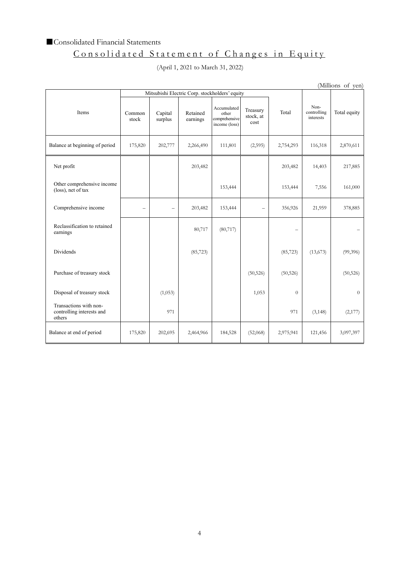### ■ Consolidated Financial Statements

# Consolidated Statement of Changes in Equity

## (April 1, 2021 to March 31, 2022)

(Millions of yen)

| Mitsubishi Electric Corp. stockholders' equity                |                          |                          |                      |                                                        |                               |                |                                  |              |
|---------------------------------------------------------------|--------------------------|--------------------------|----------------------|--------------------------------------------------------|-------------------------------|----------------|----------------------------------|--------------|
| Items                                                         | Common<br>stock          | Capital<br>surplus       | Retained<br>earnings | Accumulated<br>other<br>comprehensive<br>income (loss) | Treasury<br>stock, at<br>cost | Total          | Non-<br>controlling<br>interests | Total equity |
| Balance at beginning of period                                | 175,820                  | 202,777                  | 2,266,490            | 111,801                                                | (2,595)                       | 2,754,293      | 116,318                          | 2,870,611    |
| Net profit                                                    |                          |                          | 203,482              |                                                        |                               | 203,482        | 14,403                           | 217,885      |
| Other comprehensive income<br>(loss), net of tax              |                          |                          |                      | 153,444                                                |                               | 153,444        | 7,556                            | 161,000      |
| Comprehensive income                                          | $\overline{\phantom{0}}$ | $\overline{\phantom{0}}$ | 203,482              | 153,444                                                |                               | 356,926        | 21,959                           | 378,885      |
| Reclassification to retained<br>earnings                      |                          |                          | 80,717               | (80, 717)                                              |                               |                |                                  |              |
| <b>Dividends</b>                                              |                          |                          | (85, 723)            |                                                        |                               | (85, 723)      | (13,673)                         | (99,396)     |
| Purchase of treasury stock                                    |                          |                          |                      |                                                        | (50, 526)                     | (50, 526)      |                                  | (50, 526)    |
| Disposal of treasury stock                                    |                          | (1,053)                  |                      |                                                        | 1,053                         | $\overline{0}$ |                                  | $\theta$     |
| Transactions with non-<br>controlling interests and<br>others |                          | 971                      |                      |                                                        |                               | 971            | (3, 148)                         | (2,177)      |
| Balance at end of period                                      | 175,820                  | 202,695                  | 2,464,966            | 184,528                                                | (52,068)                      | 2,975,941      | 121,456                          | 3,097,397    |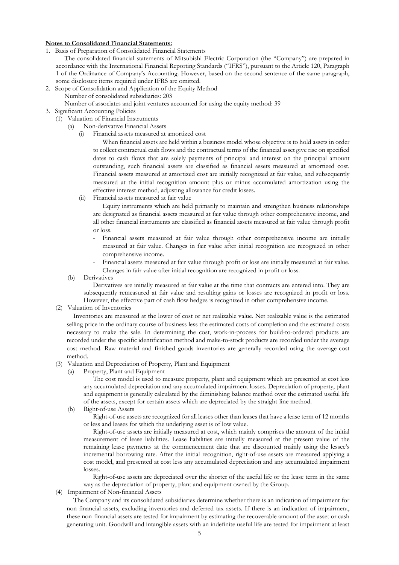#### **Notes to Consolidated Financial Statements:**

- 1. Basis of Preparation of Consolidated Financial Statements
	- The consolidated financial statements of Mitsubishi Electric Corporation (the "Company") are prepared in accordance with the International Financial Reporting Standards ("IFRS"), pursuant to the Article 120, Paragraph 1 of the Ordinance of Company's Accounting. However, based on the second sentence of the same paragraph, some disclosure items required under IFRS are omitted.
- 2. Scope of Consolidation and Application of the Equity Method Number of consolidated subsidiaries: 203
	- Number of associates and joint ventures accounted for using the equity method: 39
- 3. Significant Accounting Policies
	- (1) Valuation of Financial Instruments
		- (a) Non-derivative Financial Assets
			- (i) Financial assets measured at amortized cost

When financial assets are held within a business model whose objective is to hold assets in order to collect contractual cash flows and the contractual terms of the financial asset give rise on specified dates to cash flows that are solely payments of principal and interest on the principal amount outstanding, such financial assets are classified as financial assets measured at amortized cost. Financial assets measured at amortized cost are initially recognized at fair value, and subsequently measured at the initial recognition amount plus or minus accumulated amortization using the effective interest method, adjusting allowance for credit losses.

(ii) Financial assets measured at fair value

Equity instruments which are held primarily to maintain and strengthen business relationships are designated as financial assets measured at fair value through other comprehensive income, and all other financial instruments are classified as financial assets measured at fair value through profit or loss.

- Financial assets measured at fair value through other comprehensive income are initially measured at fair value. Changes in fair value after initial recognition are recognized in other comprehensive income.
- Financial assets measured at fair value through profit or loss are initially measured at fair value. Changes in fair value after initial recognition are recognized in profit or loss.
- (b) Derivatives

Derivatives are initially measured at fair value at the time that contracts are entered into. They are subsequently remeasured at fair value and resulting gains or losses are recognized in profit or loss. However, the effective part of cash flow hedges is recognized in other comprehensive income.

(2) Valuation of Inventories

Inventories are measured at the lower of cost or net realizable value. Net realizable value is the estimated selling price in the ordinary course of business less the estimated costs of completion and the estimated costs necessary to make the sale. In determining the cost, work-in-process for build-to-ordered products are recorded under the specific identification method and make-to-stock products are recorded under the average cost method. Raw material and finished goods inventories are generally recorded using the average-cost method.

- (3) Valuation and Depreciation of Property, Plant and Equipment
	- (a) Property, Plant and Equipment

The cost model is used to measure property, plant and equipment which are presented at cost less any accumulated depreciation and any accumulated impairment losses. Depreciation of property, plant and equipment is generally calculated by the diminishing balance method over the estimated useful life of the assets, except for certain assets which are depreciated by the straight-line method.

(b) Right-of-use Assets

Right-of-use assets are recognized for all leases other than leases that have a lease term of 12 months or less and leases for which the underlying asset is of low value.

Right-of-use assets are initially measured at cost, which mainly comprises the amount of the initial measurement of lease liabilities. Lease liabilities are initially measured at the present value of the remaining lease payments at the commencement date that are discounted mainly using the lessee's incremental borrowing rate. After the initial recognition, right-of-use assets are measured applying a cost model, and presented at cost less any accumulated depreciation and any accumulated impairment losses.

Right-of-use assets are depreciated over the shorter of the useful life or the lease term in the same way as the depreciation of property, plant and equipment owned by the Group.

(4) Impairment of Non-financial Assets

The Company and its consolidated subsidiaries determine whether there is an indication of impairment for non-financial assets, excluding inventories and deferred tax assets. If there is an indication of impairment, these non-financial assets are tested for impairment by estimating the recoverable amount of the asset or cash generating unit. Goodwill and intangible assets with an indefinite useful life are tested for impairment at least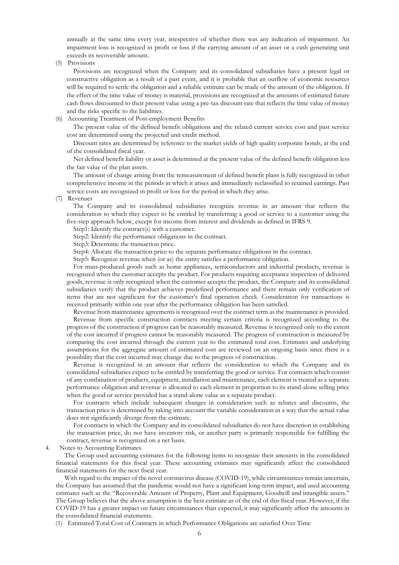annually at the same time every year, irrespective of whether there was any indication of impairment. An impairment loss is recognized in profit or loss if the carrying amount of an asset or a cash generating unit exceeds its recoverable amount.

(5) Provisions

Provisions are recognized when the Company and its consolidated subsidiaries have a present legal or constructive obligation as a result of a past event, and it is probable that an outflow of economic resources will be required to settle the obligation and a reliable estimate can be made of the amount of the obligation. If the effect of the time value of money is material, provisions are recognized at the amounts of estimated future cash flows discounted to their present value using a pre-tax discount rate that reflects the time value of money and the risks specific to the liabilities.

(6) Accounting Treatment of Post-employment Benefits

The present value of the defined benefit obligations and the related current service cost and past service cost are determined using the projected unit credit method.

Discount rates are determined by reference to the market yields of high quality corporate bonds, at the end of the consolidated fiscal year.

Net defined benefit liability or asset is determined at the present value of the defined benefit obligation less the fair value of the plan assets.

The amount of change arising from the remeasurement of defined benefit plans is fully recognized in other comprehensive income in the periods in which it arises and immediately reclassified to retained earnings. Past service costs are recognized in profit or loss for the period in which they arise.

(7) Revenues

The Company and its consolidated subsidiaries recognize revenue in an amount that reflects the consideration to which they expect to be entitled by transferring a good or service to a customer using the five-step approach below, except for income from interest and dividends as defined in IFRS 9.

Step1: Identify the contract(s) with a customer.

Step2: Identify the performance obligations in the contract.

Step3: Determine the transaction price.

Step4: Allocate the transaction price to the separate performance obligations in the contract.

Step5: Recognize revenue when (or as) the entity satisfies a performance obligation.

For mass-produced goods such as home appliances, semiconductors and industrial products, revenue is recognized when the customer accepts the product. For products requiring acceptance inspection of delivered goods, revenue is only recognized when the customer accepts the product, the Company and its consolidated subsidiaries verify that the product achieves predefined performance and there remain only verification of items that are not significant for the customer's final operation check. Consideration for transactions is received primarily within one year after the performance obligation has been satisfied.

Revenue from maintenance agreements is recognized over the contract term as the maintenance is provided. Revenue from specific construction contracts meeting certain criteria is recognized according to the progress of the construction if progress can be reasonably measured. Revenue is recognized only to the extent of the cost incurred if progress cannot be reasonably measured. The progress of construction is measured by comparing the cost incurred through the current year to the estimated total cost. Estimates and underlying assumptions for the aggregate amount of estimated cost are reviewed on an ongoing basis since there is a possibility that the cost incurred may change due to the progress of construction.

Revenue is recognized in an amount that reflects the consideration to which the Company and its consolidated subsidiaries expect to be entitled by transferring the good or service. For contracts which consist of any combination of products, equipment, installation and maintenance, each element is treated as a separate performance obligation and revenue is allocated to each element in proportion to its stand-alone selling price when the good or service provided has a stand-alone value as a separate product.

For contracts which include subsequent changes in consideration such as rebates and discounts, the transaction price is determined by taking into account the variable consideration in a way that the actual value does not significantly diverge from the estimate.

For contracts in which the Company and its consolidated subsidiaries do not have discretion in establishing the transaction price, do not have inventory risk, or another party is primarily responsible for fulfilling the contract, revenue is recognized on a net basis.

4. Notes to Accounting Estimates

The Group used accounting estimates for the following items to recognize their amounts in the consolidated financial statements for this fiscal year. These accounting estimates may significantly affect the consolidated financial statements for the next fiscal year.

With regard to the impact of the novel coronavirus disease (COVID-19), while circumstances remain uncertain, the Company has assumed that the pandemic would not have a significant long-term impact, and used accounting estimates such as the "Recoverable Amount of Property, Plant and Equipment, Goodwill and intangible assets." The Group believes that the above assumption is the best estimate as of the end of this fiscal year. However, if the COVID-19 has a greater impact on future circumstances than expected, it may significantly affect the amounts in the consolidated financial statements.

(1) Estimated Total Cost of Contracts in which Performance Obligations are satisfied Over Time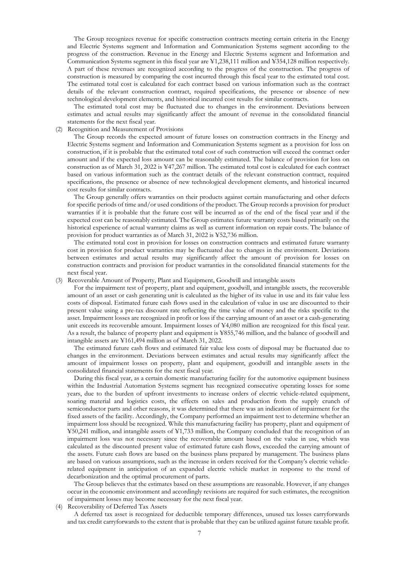The Group recognizes revenue for specific construction contracts meeting certain criteria in the Energy and Electric Systems segment and Information and Communication Systems segment according to the progress of the construction. Revenue in the Energy and Electric Systems segment and Information and Communication Systems segment in this fiscal year are ¥1,238,111 million and ¥354,128 million respectively. A part of these revenues are recognized according to the progress of the construction. The progress of construction is measured by comparing the cost incurred through this fiscal year to the estimated total cost. The estimated total cost is calculated for each contract based on various information such as the contract details of the relevant construction contract, required specifications, the presence or absence of new technological development elements, and historical incurred cost results for similar contracts.

The estimated total cost may be fluctuated due to changes in the environment. Deviations between estimates and actual results may significantly affect the amount of revenue in the consolidated financial statements for the next fiscal year.

#### (2) Recognition and Measurement of Provisions

The Group records the expected amount of future losses on construction contracts in the Energy and Electric Systems segment and Information and Communication Systems segment as a provision for loss on construction, if it is probable that the estimated total cost of such construction will exceed the contract order amount and if the expected loss amount can be reasonably estimated. The balance of provision for loss on construction as of March 31, 2022 is ¥47,267 million. The estimated total cost is calculated for each contract based on various information such as the contract details of the relevant construction contract, required specifications, the presence or absence of new technological development elements, and historical incurred cost results for similar contracts.

The Group generally offers warranties on their products against certain manufacturing and other defects for specific periods of time and/or used conditions of the product. The Group records a provision for product warranties if it is probable that the future cost will be incurred as of the end of the fiscal year and if the expected cost can be reasonably estimated. The Group estimates future warranty costs based primarily on the historical experience of actual warranty claims as well as current information on repair costs. The balance of provision for product warranties as of March 31, 2022 is ¥52,736 million.

The estimated total cost in provision for losses on construction contracts and estimated future warranty cost in provision for product warranties may be fluctuated due to changes in the environment. Deviations between estimates and actual results may significantly affect the amount of provision for losses on construction contracts and provision for product warranties in the consolidated financial statements for the next fiscal year.

(3) Recoverable Amount of Property, Plant and Equipment, Goodwill and intangible assets

For the impairment test of property, plant and equipment, goodwill, and intangible assets, the recoverable amount of an asset or cash generating unit is calculated as the higher of its value in use and its fair value less costs of disposal. Estimated future cash flows used in the calculation of value in use are discounted to their present value using a pre-tax discount rate reflecting the time value of money and the risks specific to the asset. Impairment losses are recognized in profit or loss if the carrying amount of an asset or a cash-generating unit exceeds its recoverable amount. Impairment losses of ¥4,080 million are recognized for this fiscal year. As a result, the balance of property plant and equipment is ¥855,746 million, and the balance of goodwill and intangible assets are ¥161,494 million as of March 31, 2022.

The estimated future cash flows and estimated fair value less costs of disposal may be fluctuated due to changes in the environment. Deviations between estimates and actual results may significantly affect the amount of impairment losses on property, plant and equipment, goodwill and intangible assets in the consolidated financial statements for the next fiscal year.

During this fiscal year, as a certain domestic manufacturing facility for the automotive equipment business within the Industrial Automation Systems segment has recognized consecutive operating losses for some years, due to the burden of upfront investments to increase orders of electric vehicle-related equipment, soaring material and logistics costs, the effects on sales and production from the supply crunch of semiconductor parts and other reasons, it was determined that there was an indication of impairment for the fixed assets of the facility. Accordingly, the Company performed an impairment test to determine whether an impairment loss should be recognized. While this manufacturing facility has property, plant and equipment of ¥50,241 million, and intangible assets of ¥1,733 million, the Company concluded that the recognition of an impairment loss was not necessary since the recoverable amount based on the value in use, which was calculated as the discounted present value of estimated future cash flows, exceeded the carrying amount of the assets. Future cash flows are based on the business plans prepared by management. The business plans are based on various assumptions, such as the increase in orders received for the Company's electric vehiclerelated equipment in anticipation of an expanded electric vehicle market in response to the trend of decarbonization and the optimal procurement of parts.

The Group believes that the estimates based on these assumptions are reasonable. However, if any changes occur in the economic environment and accordingly revisions are required for such estimates, the recognition of impairment losses may become necessary for the next fiscal year.

(4) Recoverability of Deferred Tax Assets

A deferred tax asset is recognized for deductible temporary differences, unused tax losses carryforwards and tax credit carryforwards to the extent that is probable that they can be utilized against future taxable profit.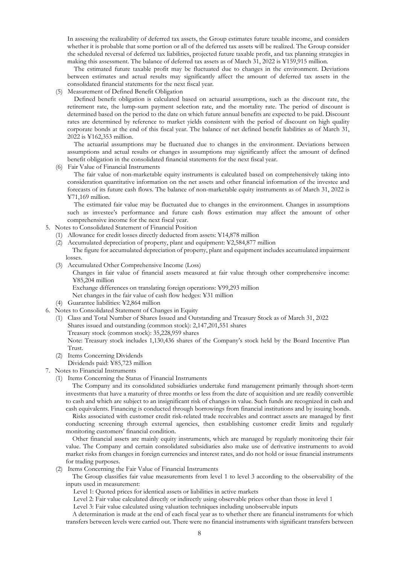In assessing the realizability of deferred tax assets, the Group estimates future taxable income, and considers whether it is probable that some portion or all of the deferred tax assets will be realized. The Group consider the scheduled reversal of deferred tax liabilities, projected future taxable profit, and tax planning strategies in making this assessment. The balance of deferred tax assets as of March 31, 2022 is ¥159,915 million.

The estimated future taxable profit may be fluctuated due to changes in the environment. Deviations between estimates and actual results may significantly affect the amount of deferred tax assets in the consolidated financial statements for the next fiscal year.

(5) Measurement of Defined Benefit Obligation

Defined benefit obligation is calculated based on actuarial assumptions, such as the discount rate, the retirement rate, the lump-sum payment selection rate, and the mortality rate. The period of discount is determined based on the period to the date on which future annual benefits are expected to be paid. Discount rates are determined by reference to market yields consistent with the period of discount on high quality corporate bonds at the end of this fiscal year. The balance of net defined benefit liabilities as of March 31, 2022 is ¥162,353 million.

The actuarial assumptions may be fluctuated due to changes in the environment. Deviations between assumptions and actual results or changes in assumptions may significantly affect the amount of defined benefit obligation in the consolidated financial statements for the next fiscal year.

(6) Fair Value of Financial Instruments

The fair value of non-marketable equity instruments is calculated based on comprehensively taking into consideration quantitative information on the net assets and other financial information of the investee and forecasts of its future cash flows. The balance of non-marketable equity instruments as of March 31, 2022 is ¥71,169 million.

The estimated fair value may be fluctuated due to changes in the environment. Changes in assumptions such as investee's performance and future cash flows estimation may affect the amount of other comprehensive income for the next fiscal year.

- 5. Notes to Consolidated Statement of Financial Position
	- (1) Allowance for credit losses directly deducted from assets: ¥14,878 million
	- (2) Accumulated depreciation of property, plant and equipment: ¥2,584,877 million The figure for accumulated depreciation of property, plant and equipment includes accumulated impairment losses.
	- (3) Accumulated Other Comprehensive Income (Loss)

Changes in fair value of financial assets measured at fair value through other comprehensive income: ¥85,204 million

Exchange differences on translating foreign operations: ¥99,293 million

Net changes in the fair value of cash flow hedges: ¥31 million

- (4) Guarantee liabilities: ¥2,864 million
- 6. Notes to Consolidated Statement of Changes in Equity
	- (1) Class and Total Number of Shares Issued and Outstanding and Treasury Stock as of March 31, 2022 Shares issued and outstanding (common stock): 2,147,201,551 shares Treasury stock (common stock): 35,228,959 shares

Note: Treasury stock includes 1,130,436 shares of the Company's stock held by the Board Incentive Plan Trust.

- (2) Items Concerning Dividends
- Dividends paid: ¥85,723 million
- 7. Notes to Financial Instruments
	- (1) Items Concerning the Status of Financial Instruments

The Company and its consolidated subsidiaries undertake fund management primarily through short-term investments that have a maturity of three months or less from the date of acquisition and are readily convertible to cash and which are subject to an insignificant risk of changes in value. Such funds are recognized in cash and cash equivalents. Financing is conducted through borrowings from financial institutions and by issuing bonds.

Risks associated with customer credit risk-related trade receivables and contract assets are managed by first conducting screening through external agencies, then establishing customer credit limits and regularly monitoring customers' financial condition.

Other financial assets are mainly equity instruments, which are managed by regularly monitoring their fair value. The Company and certain consolidated subsidiaries also make use of derivative instruments to avoid market risks from changes in foreign currencies and interest rates, and do not hold or issue financial instruments for trading purposes.

(2) Items Concerning the Fair Value of Financial Instruments

The Group classifies fair value measurements from level 1 to level 3 according to the observability of the inputs used in measurement:

Level 1: Quoted prices for identical assets or liabilities in active markets

Level 2: Fair value calculated directly or indirectly using observable prices other than those in level 1

Level 3: Fair value calculated using valuation techniques including unobservable inputs

A determination is made at the end of each fiscal year as to whether there are financial instruments for which transfers between levels were carried out. There were no financial instruments with significant transfers between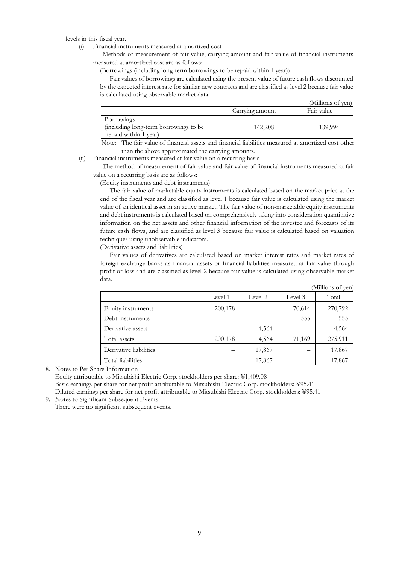levels in this fiscal year.

(i) Financial instruments measured at amortized cost

Methods of measurement of fair value, carrying amount and fair value of financial instruments measured at amortized cost are as follows:

(Borrowings (including long-term borrowings to be repaid within 1 year))

Fair values of borrowings are calculated using the present value of future cash flows discounted by the expected interest rate for similar new contracts and are classified as level 2 because fair value is calculated using observable market data.

|                                       |                 | (Millions of yen) |
|---------------------------------------|-----------------|-------------------|
|                                       | Carrying amount | Fair value        |
| Borrowings                            |                 |                   |
| (including long-term borrowings to be | 142,208         | 139,994           |
| repaid within 1 year)                 |                 |                   |

Note: The fair value of financial assets and financial liabilities measured at amortized cost other than the above approximated the carrying amounts.

(ii) Financial instruments measured at fair value on a recurring basis

The method of measurement of fair value and fair value of financial instruments measured at fair value on a recurring basis are as follows:

(Equity instruments and debt instruments)

The fair value of marketable equity instruments is calculated based on the market price at the end of the fiscal year and are classified as level 1 because fair value is calculated using the market value of an identical asset in an active market. The fair value of non-marketable equity instruments and debt instruments is calculated based on comprehensively taking into consideration quantitative information on the net assets and other financial information of the investee and forecasts of its future cash flows, and are classified as level 3 because fair value is calculated based on valuation techniques using unobservable indicators.

(Derivative assets and liabilities)

Fair values of derivatives are calculated based on market interest rates and market rates of foreign exchange banks as financial assets or financial liabilities measured at fair value through profit or loss and are classified as level 2 because fair value is calculated using observable market data.

|                        |         |         |         | (Millions of ven) |
|------------------------|---------|---------|---------|-------------------|
|                        | Level 1 | Level 2 | Level 3 | Total             |
| Equity instruments     | 200,178 |         | 70,614  | 270,792           |
| Debt instruments       |         | –       | 555     | 555               |
| Derivative assets      |         | 4,564   |         | 4,564             |
| Total assets           | 200,178 | 4,564   | 71,169  | 275,911           |
| Derivative liabilities |         | 17,867  |         | 17,867            |
| Total liabilities      |         | 17,867  |         | 17,867            |

8. Notes to Per Share Information Equity attributable to Mitsubishi Electric Corp. stockholders per share: ¥1,409.08 Basic earnings per share for net profit attributable to Mitsubishi Electric Corp. stockholders: ¥95.41 Diluted earnings per share for net profit attributable to Mitsubishi Electric Corp. stockholders: ¥95.41 9. Notes to Significant Subsequent Events

There were no significant subsequent events.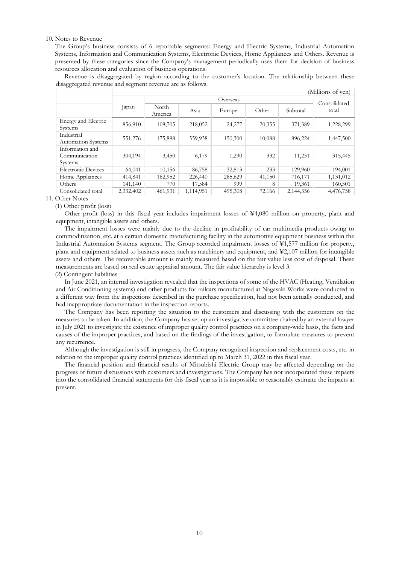#### 10. Notes to Revenue

The Group's business consists of 6 reportable segments: Energy and Electric Systems, Industrial Automation Systems, Information and Communication Systems, Electronic Devices, Home Appliances and Others. Revenue is presented by these categories since the Company's management periodically uses them for decision of business resources allocation and evaluation of business operations.

Revenue is disaggregated by region according to the customer's location. The relationship between these disaggregated revenue and segment revenue are as follows.

|                                             |           |                  |           |         |        |           | (Millions of yen)     |  |  |
|---------------------------------------------|-----------|------------------|-----------|---------|--------|-----------|-----------------------|--|--|
|                                             |           |                  | Overseas  |         |        |           |                       |  |  |
|                                             | Japan     | North<br>America | Asia      | Europe  | Other  | Subtotal  | Consolidated<br>total |  |  |
| Energy and Electric<br>Systems              | 856,910   | 108,705          | 218,052   | 24,277  | 20,355 | 371,389   | 1,228,299             |  |  |
| Industrial<br><b>Automation Systems</b>     | 551,276   | 175,898          | 559,938   | 150,300 | 10,088 | 896,224   | 1,447,500             |  |  |
| Information and<br>Communication<br>Systems | 304,194   | 3,450            | 6,179     | 1,290   | 332    | 11,251    | 315,445               |  |  |
| <b>Electronic Devices</b>                   | 64,041    | 10,156           | 86,758    | 32,813  | 233    | 129,960   | 194,001               |  |  |
| Home Appliances                             | 414,841   | 162,952          | 226,440   | 285,629 | 41,150 | 716,171   | 1,131,012             |  |  |
| Others                                      | 141,140   | 770              | 17,584    | 999     | 8      | 19,361    | 160,501               |  |  |
| Consolidated total                          | 2,332,402 | 461,931          | 1,114,951 | 495,308 | 72,166 | 2,144,356 | 4,476,758             |  |  |

#### 11. Other Notes

#### (1) Other profit (loss)

Other profit (loss) in this fiscal year includes impairment losses of ¥4,080 million on property, plant and equipment, intangible assets and others.

The impairment losses were mainly due to the decline in profitability of car multimedia products owing to commoditization, etc. at a certain domestic manufacturing facility in the automotive equipment business within the Industrial Automation Systems segment. The Group recorded impairment losses of ¥1,577 million for property, plant and equipment related to business assets such as machinery and equipment, and ¥2,107 million for intangible assets and others. The recoverable amount is mainly measured based on the fair value less cost of disposal. These measurements are based on real estate appraisal amount. The fair value hierarchy is level 3.

#### (2) Contingent liabilities

In June 2021, an internal investigation revealed that the inspections of some of the HVAC (Heating, Ventilation and Air Conditioning systems) and other products for railcars manufactured at Nagasaki Works were conducted in a different way from the inspections described in the purchase specification, had not been actually conducted, and had inappropriate documentation in the inspection reports.

The Company has been reporting the situation to the customers and discussing with the customers on the measures to be taken. In addition, the Company has set up an investigative committee chaired by an external lawyer in July 2021 to investigate the existence of improper quality control practices on a company-wide basis, the facts and causes of the improper practices, and based on the findings of the investigation, to formulate measures to prevent any recurrence.

Although the investigation is still in progress, the Company recognized inspection and replacement costs, etc. in relation to the improper quality control practices identified up to March 31, 2022 in this fiscal year.

The financial position and financial results of Mitsubishi Electric Group may be affected depending on the progress of future discussions with customers and investigations. The Company has not incorporated these impacts into the consolidated financial statements for this fiscal year as it is impossible to reasonably estimate the impacts at present.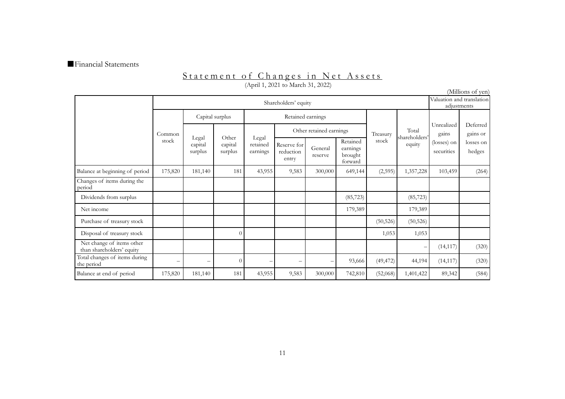#### ■Financial Statements

#### Statement of Changes in Net Assets (April 1, 2021 to March 31, 2022)

|                                                        |                                 |                             |                             |                               |                                   |                         |                                            |           |                         |                           | (Millions of yen)    |
|--------------------------------------------------------|---------------------------------|-----------------------------|-----------------------------|-------------------------------|-----------------------------------|-------------------------|--------------------------------------------|-----------|-------------------------|---------------------------|----------------------|
|                                                        |                                 | Shareholders' equity        |                             |                               |                                   |                         |                                            |           | adjustments             | Valuation and translation |                      |
|                                                        |                                 | Capital surplus             |                             |                               | Retained earnings                 |                         |                                            |           |                         |                           |                      |
|                                                        | Common                          |                             |                             |                               |                                   | Other retained earnings |                                            | Treasury  | Total                   | Unrealized<br>gains       | Deferred<br>gains or |
|                                                        | stock                           | Legal<br>capital<br>surplus | Other<br>capital<br>surplus | Legal<br>retained<br>earnings | Reserve for<br>reduction<br>entry | General<br>reserve      | Retained<br>earnings<br>brought<br>forward | stock     | shareholders'<br>equity | (losses) on<br>securities | losses on<br>hedges  |
| Balance at beginning of period                         | 175,820                         | 181,140                     | 181                         | 43,955                        | 9,583                             | 300,000                 | 649,144                                    | (2,595)   | 1,357,228               | 103,459                   | (264)                |
| Changes of items during the<br>period                  |                                 |                             |                             |                               |                                   |                         |                                            |           |                         |                           |                      |
| Dividends from surplus                                 |                                 |                             |                             |                               |                                   |                         | (85, 723)                                  |           | (85, 723)               |                           |                      |
| Net income                                             |                                 |                             |                             |                               |                                   |                         | 179,389                                    |           | 179,389                 |                           |                      |
| Purchase of treasury stock                             |                                 |                             |                             |                               |                                   |                         |                                            | (50, 526) | (50, 526)               |                           |                      |
| Disposal of treasury stock                             |                                 |                             | $\Omega$                    |                               |                                   |                         |                                            | 1,053     | 1,053                   |                           |                      |
| Net change of items other<br>than shareholders' equity |                                 |                             |                             |                               |                                   |                         |                                            |           | -                       | (14, 117)                 | (320)                |
| Total changes of items during<br>the period            | $\hspace{0.1mm}-\hspace{0.1mm}$ | $\overline{\phantom{0}}$    |                             |                               | $\overline{\phantom{0}}$          |                         | 93,666                                     | (49, 472) | 44,194                  | (14, 117)                 | (320)                |
| Balance at end of period                               | 175,820                         | 181,140                     | 181                         | 43,955                        | 9,583                             | 300,000                 | 742,810                                    | (52,068)  | 1,401,422               | 89,342                    | (584)                |

11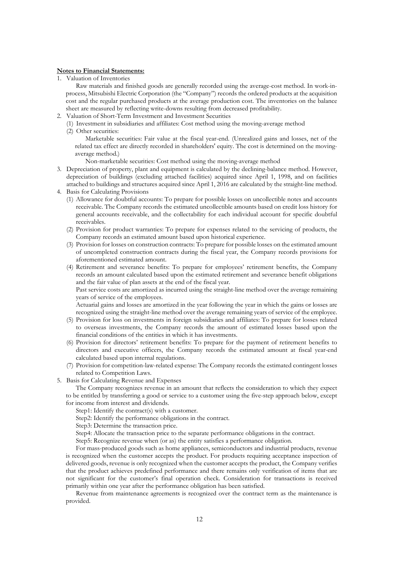#### **Notes to Financial Statements:**

1. Valuation of Inventories

Raw materials and finished goods are generally recorded using the average-cost method. In work-inprocess, Mitsubishi Electric Corporation (the "Company") records the ordered products at the acquisition cost and the regular purchased products at the average production cost. The inventories on the balance sheet are measured by reflecting write-downs resulting from decreased profitability.

- 2. Valuation of Short-Term Investment and Investment Securities
	- (1) Investment in subsidiaries and affiliates: Cost method using the moving-average method (2) Other securities:

Marketable securities: Fair value at the fiscal year-end. (Unrealized gains and losses, net of the related tax effect are directly recorded in shareholders' equity. The cost is determined on the movingaverage method.)

Non-marketable securities: Cost method using the moving-average method

- 3. Depreciation of property, plant and equipment is calculated by the declining-balance method. However, depreciation of buildings (excluding attached facilities) acquired since April 1, 1998, and on facilities attached to buildings and structures acquired since April 1, 2016 are calculated by the straight-line method. 4. Basis for Calculating Provisions
- - (1) Allowance for doubtful accounts: To prepare for possible losses on uncollectible notes and accounts receivable. The Company records the estimated uncollectible amounts based on credit loss history for general accounts receivable, and the collectability for each individual account for specific doubtful receivables.
	- (2) Provision for product warranties: To prepare for expenses related to the servicing of products, the Company records an estimated amount based upon historical experience.
	- (3) Provision for losses on construction contracts: To prepare for possible losses on the estimated amount of uncompleted construction contracts during the fiscal year, the Company records provisions for aforementioned estimated amount.
	- (4) Retirement and severance benefits: To prepare for employees' retirement benefits, the Company records an amount calculated based upon the estimated retirement and severance benefit obligations and the fair value of plan assets at the end of the fiscal year.

Past service costs are amortized as incurred using the straight-line method over the average remaining years of service of the employees.

Actuarial gains and losses are amortized in the year following the year in which the gains or losses are recognized using the straight-line method over the average remaining years of service of the employee.

- (5) Provision for loss on investments in foreign subsidiaries and affiliates: To prepare for losses related to overseas investments, the Company records the amount of estimated losses based upon the financial conditions of the entities in which it has investments.
- (6) Provision for directors' retirement benefits: To prepare for the payment of retirement benefits to directors and executive officers, the Company records the estimated amount at fiscal year-end calculated based upon internal regulations.
- (7) Provision for competition-law-related expense: The Company records the estimated contingent losses related to Competition Laws.
- 5. Basis for Calculating Revenue and Expenses

The Company recognizes revenue in an amount that reflects the consideration to which they expect to be entitled by transferring a good or service to a customer using the five-step approach below, except for income from interest and dividends.

Step1: Identify the contract(s) with a customer.

Step2: Identify the performance obligations in the contract.

Step3: Determine the transaction price.

Step4: Allocate the transaction price to the separate performance obligations in the contract.

Step5: Recognize revenue when (or as) the entity satisfies a performance obligation.

For mass-produced goods such as home appliances, semiconductors and industrial products, revenue is recognized when the customer accepts the product. For products requiring acceptance inspection of delivered goods, revenue is only recognized when the customer accepts the product, the Company verifies that the product achieves predefined performance and there remains only verification of items that are not significant for the customer's final operation check. Consideration for transactions is received primarily within one year after the performance obligation has been satisfied.

Revenue from maintenance agreements is recognized over the contract term as the maintenance is provided.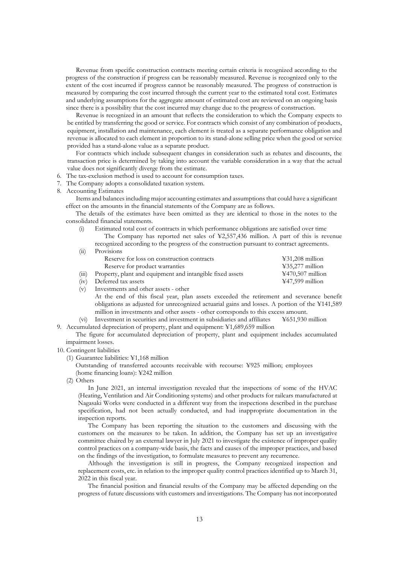Revenue from specific construction contracts meeting certain criteria is recognized according to the progress of the construction if progress can be reasonably measured. Revenue is recognized only to the extent of the cost incurred if progress cannot be reasonably measured. The progress of construction is measured by comparing the cost incurred through the current year to the estimated total cost. Estimates and underlying assumptions for the aggregate amount of estimated cost are reviewed on an ongoing basis since there is a possibility that the cost incurred may change due to the progress of construction.

Revenue is recognized in an amount that reflects the consideration to which the Company expects to be entitled by transferring the good or service. For contracts which consist of any combination of products, equipment, installation and maintenance, each element is treated as a separate performance obligation and revenue is allocated to each element in proportion to its stand-alone selling price when the good or service provided has a stand-alone value as a separate product.

For contracts which include subsequent changes in consideration such as rebates and discounts, the transaction price is determined by taking into account the variable consideration in a way that the actual value does not significantly diverge from the estimate.

- 6. The tax-exclusion method is used to account for consumption taxes.
- 7. The Company adopts a consolidated taxation system.
- 8. Accounting Estimates

Items and balances including major accounting estimates and assumptions that could have a significant effect on the amounts in the financial statements of the Company are as follows.

The details of the estimates have been omitted as they are identical to those in the notes to the consolidated financial statements.

(i) Estimated total cost of contracts in which performance obligations are satisfied over time The Company has reported net sales of ¥2,557,436 million. A part of this is revenue recognized according to the progress of the construction pursuant to contract agreements.

| (ii)  | Provisions                                                |                                                            |
|-------|-----------------------------------------------------------|------------------------------------------------------------|
|       | Reserve for loss on construction contracts                | $\text{\textless}31,208$ million                           |
|       | Reserve for product warranties                            | $\text{\textless}35,277$ million                           |
| (iii) | Property, plant and equipment and intangible fixed assets | $\textcolor{blue}{\textbf{\text{Y470,507}}}\text{million}$ |
| (iv)  | Deferred tax assets                                       | $\text{\textsterling}47,599$ million                       |

- 
- (v) Investments and other assets other
	- At the end of this fiscal year, plan assets exceeded the retirement and severance benefit obligations as adjusted for unrecognized actuarial gains and losses. A portion of the ¥141,589 million in investments and other assets - other corresponds to this excess amount.
- (vi) Investment in securities and investment in subsidiaries and affiliates ¥651,930 million 9. Accumulated depreciation of property, plant and equipment: ¥1,689,659 million

The figure for accumulated depreciation of property, plant and equipment includes accumulated impairment losses.

- 10. Contingent liabilities
	- (1) Guarantee liabilities: ¥1,168 million

Outstanding of transferred accounts receivable with recourse: ¥925 million; employees (home financing loans): ¥242 million

(2) Others

In June 2021, an internal investigation revealed that the inspections of some of the HVAC (Heating, Ventilation and Air Conditioning systems) and other products for railcars manufactured at Nagasaki Works were conducted in a different way from the inspections described in the purchase specification, had not been actually conducted, and had inappropriate documentation in the inspection reports.

The Company has been reporting the situation to the customers and discussing with the customers on the measures to be taken. In addition, the Company has set up an investigative committee chaired by an external lawyer in July 2021 to investigate the existence of improper quality control practices on a company-wide basis, the facts and causes of the improper practices, and based on the findings of the investigation, to formulate measures to prevent any recurrence.

Although the investigation is still in progress, the Company recognized inspection and replacement costs, etc. in relation to the improper quality control practices identified up to March 31, 2022 in this fiscal year.

The financial position and financial results of the Company may be affected depending on the progress of future discussions with customers and investigations. The Company has not incorporated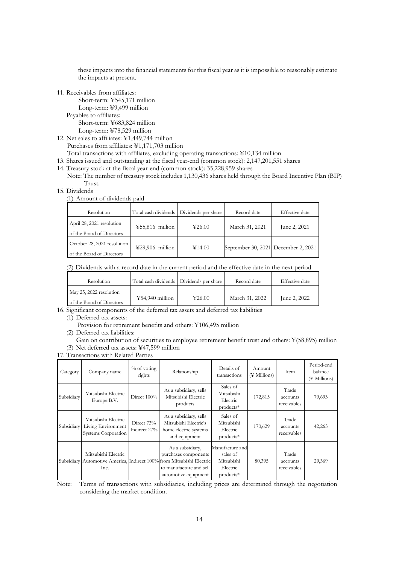these impacts into the financial statements for this fiscal year as it is impossible to reasonably estimate the impacts at present.

11. Receivables from affiliates:

Short-term: ¥545,171 million Long-term: ¥9,499 million Payables to affiliates: Short-term: ¥683,824 million

Long-term: ¥78,529 million

12. Net sales to affiliates: ¥1,449,744 million Purchases from affiliates: ¥1,171,703 million

Total transactions with affiliates, excluding operating transactions: ¥10,134 million

13. Shares issued and outstanding at the fiscal year-end (common stock): 2,147,201,551 shares

14. Treasury stock at the fiscal year-end (common stock): 35,228,959 shares

Note: The number of treasury stock includes 1,130,436 shares held through the Board Incentive Plan (BIP) Trust.

15. Dividends

(1) Amount of dividends paid

| Resolution                  | Total cash dividends Dividends per share |        | Record date                         | Effective date |  |
|-----------------------------|------------------------------------------|--------|-------------------------------------|----------------|--|
| April 28, 2021 resolution   | $455,816$ million                        | 426.00 | March 31, 2021                      | June 2, 2021   |  |
| of the Board of Directors   |                                          |        |                                     |                |  |
| October 28, 2021 resolution | $¥29,906$ million                        | ¥14.00 | September 30, 2021 December 2, 2021 |                |  |
| of the Board of Directors   |                                          |        |                                     |                |  |

(2) Dividends with a record date in the current period and the effective date in the next period

| Resolution                                           |                   | Total cash dividends   Dividends per share | Record date    | Effective date |
|------------------------------------------------------|-------------------|--------------------------------------------|----------------|----------------|
| May 25, 2022 resolution<br>of the Board of Directors | $¥54,940$ million | 426.00                                     | March 31, 2022 | June 2, 2022   |

16. Significant components of the deferred tax assets and deferred tax liabilities

(1) Deferred tax assets:

Provision for retirement benefits and others: ¥106,495 million

(2) Deferred tax liabilities:

Gain on contribution of securities to employee retirement benefit trust and others: ¥(58,895) million (3) Net deferred tax assets: ¥47,599 million

17. Transactions with Related Parties

| Category   | Company name                                                     | $%$ of voting<br>rights    | Relationship                                                                                                                                              | Details of<br>transactions                                         | Amount<br>$(\frac{1}{2}$ Millions) | Item                             | Period-end<br>balance<br>(¥ Millions) |
|------------|------------------------------------------------------------------|----------------------------|-----------------------------------------------------------------------------------------------------------------------------------------------------------|--------------------------------------------------------------------|------------------------------------|----------------------------------|---------------------------------------|
| Subsidiary | Mitsubishi Electric<br>Europe B.V.                               | Direct $100\%$             | As a subsidiary, sells<br>Mitsubishi Electric<br>products                                                                                                 | Sales of<br>Mitsubishi<br>Electric<br>products*                    | 172,815                            | Trade<br>accounts<br>receivables | 79,693                                |
| Subsidiary | Mitsubishi Electric<br>Living Environment<br>Systems Corporation | Direct 73%<br>Indirect 27% | As a subsidiary, sells<br>Mitsubishi Electric's<br>home electric systems<br>and equipment                                                                 | Sales of<br>Mitsubishi<br>Electric<br>products*                    | 170,629                            | Trade<br>accounts<br>receivables | 42,265                                |
| Subsidiary | Mitsubishi Electric<br>Inc.                                      |                            | As a subsidiary,<br>purchases components<br>Automotive America, Indirect 100% from Mitsubishi Electric<br>to manufacture and sell<br>automotive equipment | Manufacture and<br>sales of<br>Mitsubishi<br>Electric<br>products* | 80,395                             | Trade<br>accounts<br>receivables | 29,369                                |

Note: Terms of transactions with subsidiaries, including prices are determined through the negotiation considering the market condition.